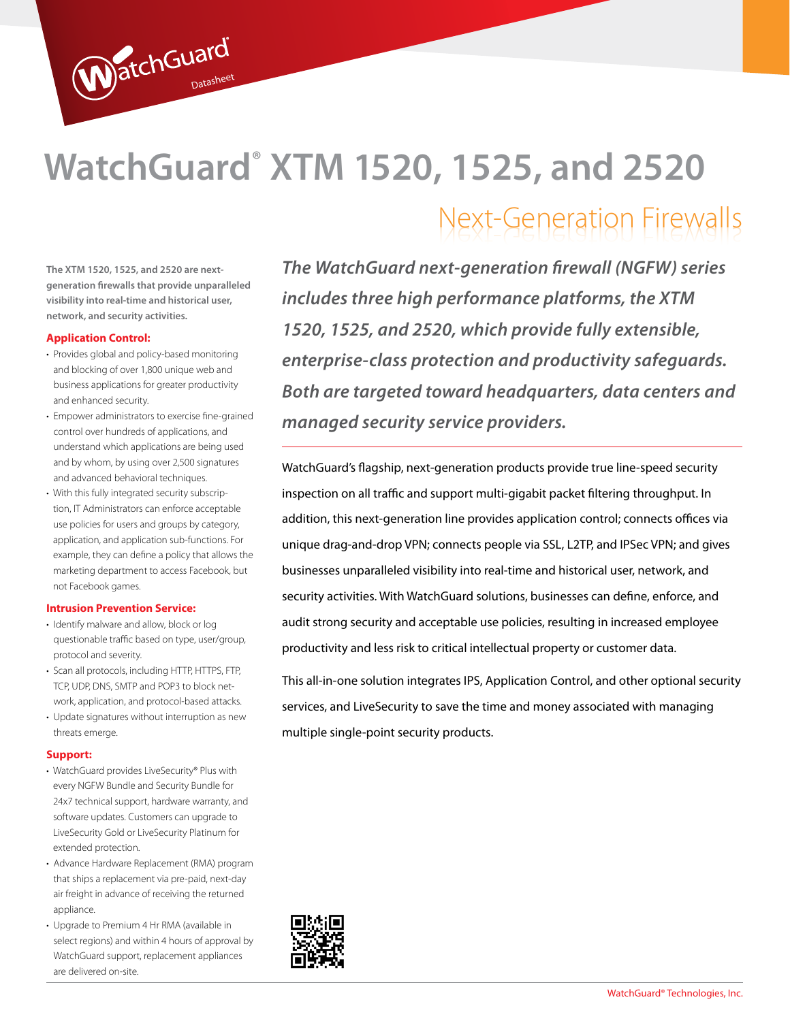# **WatchGuard® XTM 1520, 1525, and 2520**

**The XTM 1520, 1525, and 2520 are nextgeneration firewalls that provide unparalleled visibility into real-time and historical user, network, and security activities.**

WatchGuard

### **Application Control:**

- Provides global and policy-based monitoring and blocking of over 1,800 unique web and business applications for greater productivity and enhanced security.
- Empower administrators to exercise fine-grained control over hundreds of applications, and understand which applications are being used and by whom, by using over 2,500 signatures and advanced behavioral techniques.
- With this fully integrated security subscription, IT Administrators can enforce acceptable use policies for users and groups by category, application, and application sub-functions. For example, they can define a policy that allows the marketing department to access Facebook, but not Facebook games.

### **Intrusion Prevention Service:**

- Identify malware and allow, block or log questionable traffic based on type, user/group, protocol and severity.
- Scan all protocols, including HTTP, HTTPS, FTP, TCP, UDP, DNS, SMTP and POP3 to block network, application, and protocol-based attacks.
- Update signatures without interruption as new threats emerge.

#### **Support:**

- WatchGuard provides LiveSecurity® Plus with every NGFW Bundle and Security Bundle for 24x7 technical support, hardware warranty, and software updates. Customers can upgrade to LiveSecurity Gold or LiveSecurity Platinum for extended protection.
- Advance Hardware Replacement (RMA) program that ships a replacement via pre-paid, next-day air freight in advance of receiving the returned appliance.
- Upgrade to Premium 4 Hr RMA (available in select regions) and within 4 hours of approval by WatchGuard support, replacement appliances are delivered on-site.

*The WatchGuard next-generation firewall (NGFW) series includes three high performance platforms, the XTM 1520, 1525, and 2520, which provide fully extensible, enterprise-class protection and productivity safeguards. Both are targeted toward headquarters, data centers and managed security service providers.* 

Next-Generation Firewalls

WatchGuard's flagship, next-generation products provide true line-speed security inspection on all traffic and support multi-gigabit packet filtering throughput. In addition, this next-generation line provides application control; connects offices via unique drag-and-drop VPN; connects people via SSL, L2TP, and IPSec VPN; and gives businesses unparalleled visibility into real-time and historical user, network, and security activities. With WatchGuard solutions, businesses can define, enforce, and audit strong security and acceptable use policies, resulting in increased employee productivity and less risk to critical intellectual property or customer data.

This all-in-one solution integrates IPS, Application Control, and other optional security services, and LiveSecurity to save the time and money associated with managing multiple single-point security products.